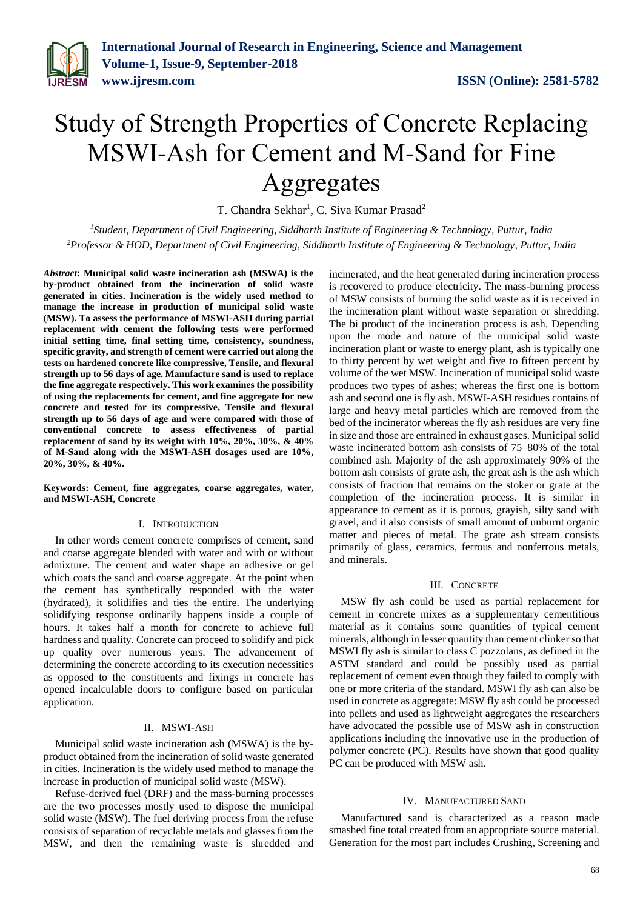

# Study of Strength Properties of Concrete Replacing MSWI-Ash for Cement and M-Sand for Fine Aggregates

T. Chandra Sekhar<sup>1</sup>, C. Siva Kumar Prasad<sup>2</sup>

*<sup>1</sup>Student, Department of Civil Engineering, Siddharth Institute of Engineering & Technology, Puttur, India <sup>2</sup>Professor & HOD, Department of Civil Engineering, Siddharth Institute of Engineering & Technology, Puttur, India*

*Abstract***: Municipal solid waste incineration ash (MSWA) is the by-product obtained from the incineration of solid waste generated in cities. Incineration is the widely used method to manage the increase in production of municipal solid waste (MSW). To assess the performance of MSWI-ASH during partial replacement with cement the following tests were performed initial setting time, final setting time, consistency, soundness, specific gravity, and strength of cement were carried out along the tests on hardened concrete like compressive, Tensile, and flexural strength up to 56 days of age. Manufacture sand is used to replace the fine aggregate respectively. This work examines the possibility of using the replacements for cement, and fine aggregate for new concrete and tested for its compressive, Tensile and flexural strength up to 56 days of age and were compared with those of conventional concrete to assess effectiveness of partial replacement of sand by its weight with 10%, 20%, 30%, & 40% of M-Sand along with the MSWI-ASH dosages used are 10%, 20%, 30%, & 40%.**

#### **Keywords: Cement, fine aggregates, coarse aggregates, water, and MSWI-ASH, Concrete**

### I. INTRODUCTION

In other words cement concrete comprises of cement, sand and coarse aggregate blended with water and with or without admixture. The cement and water shape an adhesive or gel which coats the sand and coarse aggregate. At the point when the cement has synthetically responded with the water (hydrated), it solidifies and ties the entire. The underlying solidifying response ordinarily happens inside a couple of hours. It takes half a month for concrete to achieve full hardness and quality. Concrete can proceed to solidify and pick up quality over numerous years. The advancement of determining the concrete according to its execution necessities as opposed to the constituents and fixings in concrete has opened incalculable doors to configure based on particular application.

### II. MSWI-ASH

Municipal solid waste incineration ash (MSWA) is the byproduct obtained from the incineration of solid waste generated in cities. Incineration is the widely used method to manage the increase in production of municipal solid waste (MSW).

Refuse-derived fuel (DRF) and the mass-burning processes are the two processes mostly used to dispose the municipal solid waste (MSW). The fuel deriving process from the refuse consists of separation of recyclable metals and glasses from the MSW, and then the remaining waste is shredded and incinerated, and the heat generated during incineration process is recovered to produce electricity. The mass-burning process of MSW consists of burning the solid waste as it is received in the incineration plant without waste separation or shredding. The bi product of the incineration process is ash. Depending upon the mode and nature of the municipal solid waste incineration plant or waste to energy plant, ash is typically one to thirty percent by wet weight and five to fifteen percent by volume of the wet MSW. Incineration of municipal solid waste produces two types of ashes; whereas the first one is bottom ash and second one is fly ash. MSWI-ASH residues contains of large and heavy metal particles which are removed from the bed of the incinerator whereas the fly ash residues are very fine in size and those are entrained in exhaust gases. Municipal solid waste incinerated bottom ash consists of 75–80% of the total combined ash. Majority of the ash approximately 90% of the bottom ash consists of grate ash, the great ash is the ash which consists of fraction that remains on the stoker or grate at the completion of the incineration process. It is similar in appearance to cement as it is porous, grayish, silty sand with gravel, and it also consists of small amount of unburnt organic matter and pieces of metal. The grate ash stream consists primarily of glass, ceramics, ferrous and nonferrous metals, and minerals.

#### III. CONCRETE

MSW fly ash could be used as partial replacement for cement in concrete mixes as a supplementary cementitious material as it contains some quantities of typical cement minerals, although in lesser quantity than cement clinker so that MSWI fly ash is similar to class C pozzolans, as defined in the ASTM standard and could be possibly used as partial replacement of cement even though they failed to comply with one or more criteria of the standard. MSWI fly ash can also be used in concrete as aggregate: MSW fly ash could be processed into pellets and used as lightweight aggregates the researchers have advocated the possible use of MSW ash in construction applications including the innovative use in the production of polymer concrete (PC). Results have shown that good quality PC can be produced with MSW ash.

#### IV. MANUFACTURED SAND

Manufactured sand is characterized as a reason made smashed fine total created from an appropriate source material. Generation for the most part includes Crushing, Screening and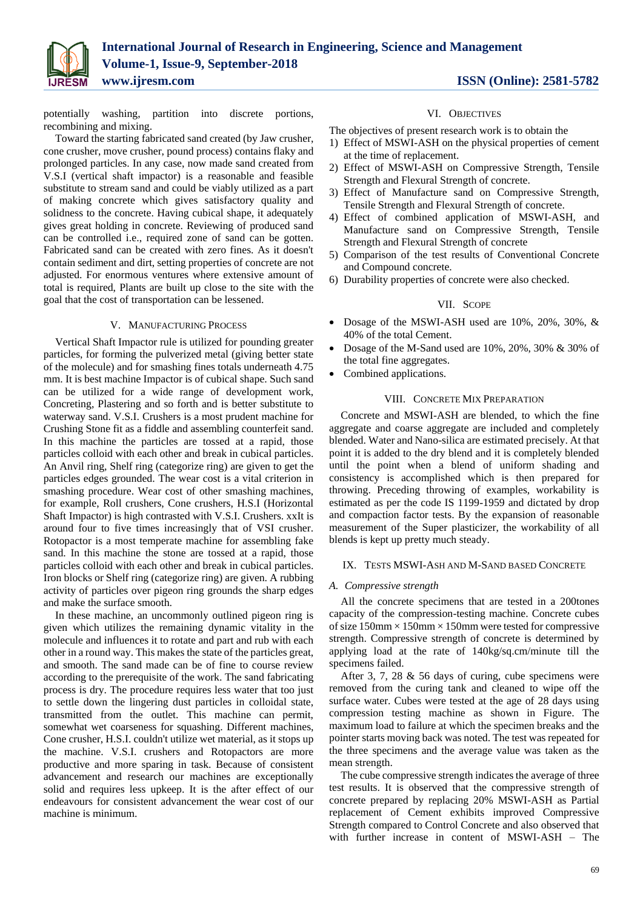

potentially washing, partition into discrete portions, recombining and mixing.

Toward the starting fabricated sand created (by Jaw crusher, cone crusher, move crusher, pound process) contains flaky and prolonged particles. In any case, now made sand created from V.S.I (vertical shaft impactor) is a reasonable and feasible substitute to stream sand and could be viably utilized as a part of making concrete which gives satisfactory quality and solidness to the concrete. Having cubical shape, it adequately gives great holding in concrete. Reviewing of produced sand can be controlled i.e., required zone of sand can be gotten. Fabricated sand can be created with zero fines. As it doesn't contain sediment and dirt, setting properties of concrete are not adjusted. For enormous ventures where extensive amount of total is required, Plants are built up close to the site with the goal that the cost of transportation can be lessened.

### V. MANUFACTURING PROCESS

Vertical Shaft Impactor rule is utilized for pounding greater particles, for forming the pulverized metal (giving better state of the molecule) and for smashing fines totals underneath 4.75 mm. It is best machine Impactor is of cubical shape. Such sand can be utilized for a wide range of development work, Concreting, Plastering and so forth and is better substitute to waterway sand. V.S.I. Crushers is a most prudent machine for Crushing Stone fit as a fiddle and assembling counterfeit sand. In this machine the particles are tossed at a rapid, those particles colloid with each other and break in cubical particles. An Anvil ring, Shelf ring (categorize ring) are given to get the particles edges grounded. The wear cost is a vital criterion in smashing procedure. Wear cost of other smashing machines, for example, Roll crushers, Cone crushers, H.S.I (Horizontal Shaft Impactor) is high contrasted with V.S.I. Crushers. xxIt is around four to five times increasingly that of VSI crusher. Rotopactor is a most temperate machine for assembling fake sand. In this machine the stone are tossed at a rapid, those particles colloid with each other and break in cubical particles. Iron blocks or Shelf ring (categorize ring) are given. A rubbing activity of particles over pigeon ring grounds the sharp edges and make the surface smooth.

In these machine, an uncommonly outlined pigeon ring is given which utilizes the remaining dynamic vitality in the molecule and influences it to rotate and part and rub with each other in a round way. This makes the state of the particles great, and smooth. The sand made can be of fine to course review according to the prerequisite of the work. The sand fabricating process is dry. The procedure requires less water that too just to settle down the lingering dust particles in colloidal state, transmitted from the outlet. This machine can permit, somewhat wet coarseness for squashing. Different machines, Cone crusher, H.S.I. couldn't utilize wet material, as it stops up the machine. V.S.I. crushers and Rotopactors are more productive and more sparing in task. Because of consistent advancement and research our machines are exceptionally solid and requires less upkeep. It is the after effect of our endeavours for consistent advancement the wear cost of our machine is minimum.

#### VI. OBJECTIVES

The objectives of present research work is to obtain the

- 1) Effect of MSWI-ASH on the physical properties of cement at the time of replacement.
- 2) Effect of MSWI-ASH on Compressive Strength, Tensile Strength and Flexural Strength of concrete.
- 3) Effect of Manufacture sand on Compressive Strength, Tensile Strength and Flexural Strength of concrete.
- 4) Effect of combined application of MSWI-ASH, and Manufacture sand on Compressive Strength, Tensile Strength and Flexural Strength of concrete
- 5) Comparison of the test results of Conventional Concrete and Compound concrete.
- 6) Durability properties of concrete were also checked.

#### VII. SCOPE

- Dosage of the MSWI-ASH used are 10%, 20%, 30%, & 40% of the total Cement.
- Dosage of the M-Sand used are 10%, 20%, 30% & 30% of the total fine aggregates.
- Combined applications.

#### VIII. CONCRETE MIX PREPARATION

Concrete and MSWI-ASH are blended, to which the fine aggregate and coarse aggregate are included and completely blended. Water and Nano-silica are estimated precisely. At that point it is added to the dry blend and it is completely blended until the point when a blend of uniform shading and consistency is accomplished which is then prepared for throwing. Preceding throwing of examples, workability is estimated as per the code IS 1199-1959 and dictated by drop and compaction factor tests. By the expansion of reasonable measurement of the Super plasticizer, the workability of all blends is kept up pretty much steady.

#### IX. TESTS MSWI-ASH AND M-SAND BASED CONCRETE

#### *A. Compressive strength*

All the concrete specimens that are tested in a 200tones capacity of the compression-testing machine. Concrete cubes of size  $150$ mm  $\times$  150mm  $\times$  150mm were tested for compressive strength. Compressive strength of concrete is determined by applying load at the rate of 140kg/sq.cm/minute till the specimens failed.

After 3, 7, 28 & 56 days of curing, cube specimens were removed from the curing tank and cleaned to wipe off the surface water. Cubes were tested at the age of 28 days using compression testing machine as shown in Figure. The maximum load to failure at which the specimen breaks and the pointer starts moving back was noted. The test was repeated for the three specimens and the average value was taken as the mean strength.

The cube compressive strength indicates the average of three test results. It is observed that the compressive strength of concrete prepared by replacing 20% MSWI-ASH as Partial replacement of Cement exhibits improved Compressive Strength compared to Control Concrete and also observed that with further increase in content of MSWI-ASH – The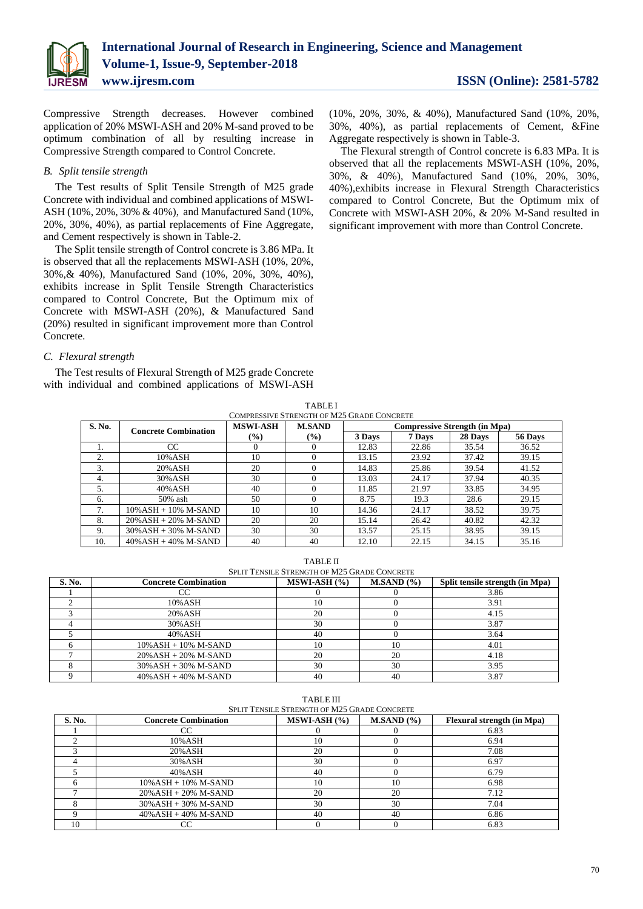

Compressive Strength decreases. However combined application of 20% MSWI-ASH and 20% M-sand proved to be optimum combination of all by resulting increase in Compressive Strength compared to Control Concrete.

### *B. Split tensile strength*

The Test results of Split Tensile Strength of M25 grade Concrete with individual and combined applications of MSWI-ASH (10%, 20%, 30% & 40%), and Manufactured Sand (10%, 20%, 30%, 40%), as partial replacements of Fine Aggregate, and Cement respectively is shown in Table-2.

The Split tensile strength of Control concrete is 3.86 MPa. It is observed that all the replacements MSWI-ASH (10%, 20%, 30%,& 40%), Manufactured Sand (10%, 20%, 30%, 40%), exhibits increase in Split Tensile Strength Characteristics compared to Control Concrete, But the Optimum mix of Concrete with MSWI-ASH (20%), & Manufactured Sand (20%) resulted in significant improvement more than Control Concrete.

### *C. Flexural strength*

The Test results of Flexural Strength of M25 grade Concrete with individual and combined applications of MSWI-ASH (10%, 20%, 30%, & 40%), Manufactured Sand (10%, 20%, 30%, 40%), as partial replacements of Cement, &Fine Aggregate respectively is shown in Table-3.

The Flexural strength of Control concrete is 6.83 MPa. It is observed that all the replacements MSWI-ASH (10%, 20%, 30%, & 40%), Manufactured Sand (10%, 20%, 30%, 40%),exhibits increase in Flexural Strength Characteristics compared to Control Concrete, But the Optimum mix of Concrete with MSWI-ASH 20%, & 20% M-Sand resulted in significant improvement with more than Control Concrete.

| <b>TABLEI</b>                   |  |
|---------------------------------|--|
| essive Strength of M25 Grade Co |  |

| COMPRESSIVE STRENGTH OF M25 GRADE CONCRETE |                             |                                                          |               |                                      |         |         |       |
|--------------------------------------------|-----------------------------|----------------------------------------------------------|---------------|--------------------------------------|---------|---------|-------|
| S. No.                                     | <b>Concrete Combination</b> | <b>MSWI-ASH</b>                                          | <b>M.SAND</b> | <b>Compressive Strength (in Mpa)</b> |         |         |       |
|                                            |                             | $\left(\frac{0}{0}\right)$<br>$\left(\frac{0}{0}\right)$ | 3 Days        | 7 Days                               | 28 Days | 56 Days |       |
|                                            | CC                          |                                                          | 0             | 12.83                                | 22.86   | 35.54   | 36.52 |
| 2.                                         | 10% ASH                     | 10                                                       | 0             | 13.15                                | 23.92   | 37.42   | 39.15 |
| 3.                                         | 20% ASH                     | 20                                                       | 0             | 14.83                                | 25.86   | 39.54   | 41.52 |
| 4.                                         | 30% ASH                     | 30                                                       | $\Omega$      | 13.03                                | 24.17   | 37.94   | 40.35 |
| 5.                                         | $40\%$ ASH                  | 40                                                       | $\Omega$      | 11.85                                | 21.97   | 33.85   | 34.95 |
| 6.                                         | 50% ash                     | 50                                                       | $\Omega$      | 8.75                                 | 19.3    | 28.6    | 29.15 |
|                                            | $10\%$ ASH + $10\%$ M-SAND  | 10                                                       | 10            | 14.36                                | 24.17   | 38.52   | 39.75 |
| 8.                                         | $20\%$ ASH + $20\%$ M-SAND  | 20                                                       | 20            | 15.14                                | 26.42   | 40.82   | 42.32 |
| 9.                                         | $30\%$ ASH + 30% M-SAND     | 30                                                       | 30            | 13.57                                | 25.15   | 38.95   | 39.15 |
| 10.                                        | $40\%$ ASH + $40\%$ M-SAND  | 40                                                       | 40            | 12.10                                | 22.15   | 34.15   | 35.16 |

TABLE II

| <b>SPLIT TENSILE STRENGTH OF M25 GRADE CONCRETE</b> |                             |                |           |                                 |  |
|-----------------------------------------------------|-----------------------------|----------------|-----------|---------------------------------|--|
| <b>S. No.</b>                                       | <b>Concrete Combination</b> | $MSWI-ASH (%)$ | M.SAND(%) | Split tensile strength (in Mpa) |  |
|                                                     |                             |                |           | 3.86                            |  |
|                                                     | 10% ASH                     |                |           | 3.91                            |  |
|                                                     | 20% ASH                     | 20             |           | 4.15                            |  |
|                                                     | 30% ASH                     | 30             |           | 3.87                            |  |
|                                                     | 40% ASH                     | 40             |           | 3.64                            |  |
| <sub>6</sub>                                        | $10\%$ ASH + $10\%$ M-SAND  | 10             |           | 4.01                            |  |
|                                                     | $20\%$ ASH + $20\%$ M-SAND  | 20             | 20        | 4.18                            |  |
|                                                     | $30\%$ ASH + $30\%$ M-SAND  | 30             | 30        | 3.95                            |  |
|                                                     | $40\%$ ASH + $40\%$ M-SAND  | 40             | 40        | 3.87                            |  |

TABLE III SPLIT TENSILE STRENGTH OF M25 GRADE CONCRETE

| S. No. | <b>Concrete Combination</b> | $MSWI-ASH (%)$ | M.SAND(%) | <b>Flexural strength (in Mpa)</b> |
|--------|-----------------------------|----------------|-----------|-----------------------------------|
|        | CC                          |                |           | 6.83                              |
|        | 10% ASH                     | 10             |           | 6.94                              |
|        | 20%ASH                      | 20             |           | 7.08                              |
|        | 30% ASH                     | 30             |           | 6.97                              |
|        | 40%ASH                      | 40             |           | 6.79                              |
|        | $10\%$ ASH + $10\%$ M-SAND  | 10             | 10        | 6.98                              |
|        | $20\%$ ASH + $20\%$ M-SAND  | 20             | 20        | 7.12                              |
|        | $30\%$ ASH + 30% M-SAND     | 30             | 30        | 7.04                              |
|        | $40\%$ ASH + $40\%$ M-SAND  | 40             | 40        | 6.86                              |
|        |                             |                |           | 6.83                              |